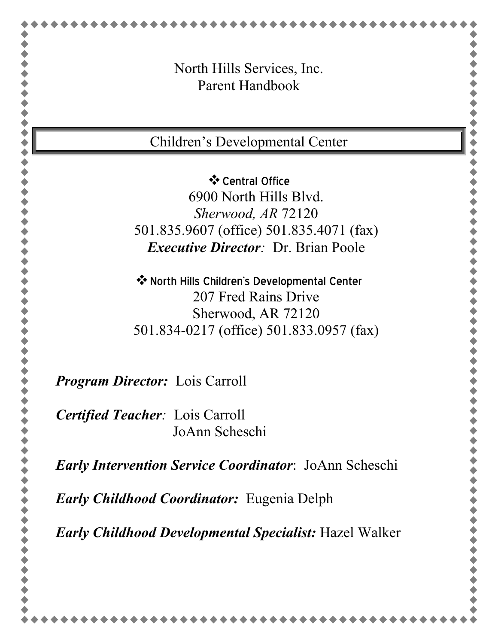| Parent Handbook<br>Children's Developmental Center<br>❖ Central Office<br>6900 North Hills Blyd.<br>Sherwood, AR 72120<br>501.835.9607 (office) 501.835.4071 (fax)<br><i>Executive Director: Dr. Brian Poole</i><br>❖ North Hills Children's Developmental Center<br>207 Fred Rains Drive<br>Sherwood, AR 72120<br>501.834-0217 (office) 501.833.0957 (fax)<br>JoAnn Scheschi | North Hills Services, Inc.                               |
|-------------------------------------------------------------------------------------------------------------------------------------------------------------------------------------------------------------------------------------------------------------------------------------------------------------------------------------------------------------------------------|----------------------------------------------------------|
|                                                                                                                                                                                                                                                                                                                                                                               |                                                          |
| <b>Program Director:</b> Lois Carroll<br><b>Certified Teacher:</b> Lois Carroll<br><b>Early Intervention Service Coordinator: JoAnn Scheschi</b>                                                                                                                                                                                                                              |                                                          |
|                                                                                                                                                                                                                                                                                                                                                                               |                                                          |
|                                                                                                                                                                                                                                                                                                                                                                               |                                                          |
|                                                                                                                                                                                                                                                                                                                                                                               |                                                          |
|                                                                                                                                                                                                                                                                                                                                                                               |                                                          |
|                                                                                                                                                                                                                                                                                                                                                                               |                                                          |
|                                                                                                                                                                                                                                                                                                                                                                               |                                                          |
|                                                                                                                                                                                                                                                                                                                                                                               |                                                          |
|                                                                                                                                                                                                                                                                                                                                                                               |                                                          |
|                                                                                                                                                                                                                                                                                                                                                                               |                                                          |
|                                                                                                                                                                                                                                                                                                                                                                               |                                                          |
|                                                                                                                                                                                                                                                                                                                                                                               |                                                          |
|                                                                                                                                                                                                                                                                                                                                                                               |                                                          |
|                                                                                                                                                                                                                                                                                                                                                                               |                                                          |
|                                                                                                                                                                                                                                                                                                                                                                               |                                                          |
|                                                                                                                                                                                                                                                                                                                                                                               |                                                          |
|                                                                                                                                                                                                                                                                                                                                                                               | <b><i>Early Childhood Coordinator:</i></b> Eugenia Delph |
| <b>Early Childhood Developmental Specialist: Hazel Walker</b>                                                                                                                                                                                                                                                                                                                 |                                                          |
|                                                                                                                                                                                                                                                                                                                                                                               |                                                          |

 $...............$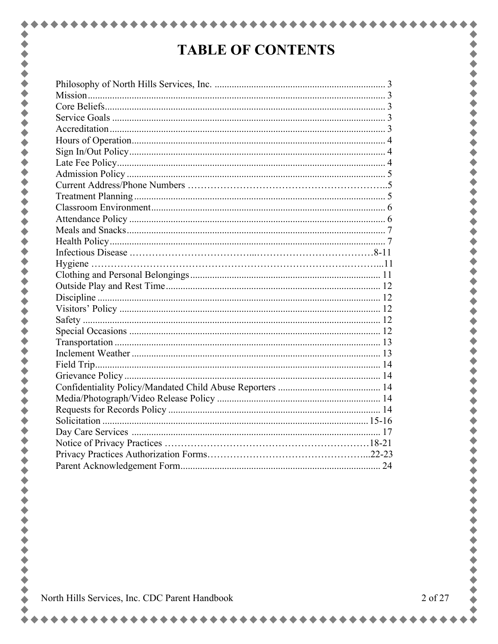# **TABLE OF CONTENTS**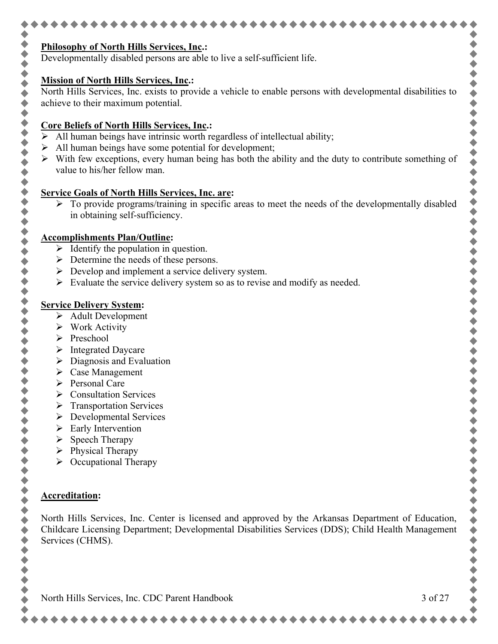| Developmentally disabled persons are able to live a self-sufficient life.                                   |         |
|-------------------------------------------------------------------------------------------------------------|---------|
| <b>Mission of North Hills Services, Inc.:</b>                                                               |         |
| North Hills Services, Inc. exists to provide a vehicle to enable persons with developmental disabilities to |         |
| achieve to their maximum potential.                                                                         |         |
| <b>Core Beliefs of North Hills Services, Inc.:</b>                                                          |         |
| $\triangleright$ All human beings have intrinsic worth regardless of intellectual ability;                  |         |
| All human beings have some potential for development;                                                       |         |
| With few exceptions, every human being has both the ability and the duty to contribute something of         |         |
| value to his/her fellow man.                                                                                |         |
| <b>Service Goals of North Hills Services, Inc. are:</b>                                                     |         |
| > To provide programs/training in specific areas to meet the needs of the developmentally disabled          |         |
| in obtaining self-sufficiency.                                                                              |         |
|                                                                                                             |         |
| <b>Accomplishments Plan/Outline:</b><br>$\triangleright$ Identify the population in question.               |         |
| $\triangleright$ Determine the needs of these persons.                                                      |         |
| $\triangleright$ Develop and implement a service delivery system.                                           |         |
| $\triangleright$ Evaluate the service delivery system so as to revise and modify as needed.                 |         |
|                                                                                                             |         |
| <b>Service Delivery System:</b>                                                                             |         |
| $\triangleright$ Adult Development                                                                          |         |
| $\triangleright$ Work Activity                                                                              |         |
| $\triangleright$ Preschool                                                                                  |         |
| <b>Integrated Daycare</b><br>➤                                                                              |         |
| Diagnosis and Evaluation<br>➤                                                                               |         |
| Case Management<br>$\triangleright$ Personal Care                                                           |         |
| <b>Consultation Services</b><br>➤                                                                           |         |
| <b>Transportation Services</b>                                                                              |         |
| <b>Developmental Services</b><br>➤                                                                          |         |
| Early Intervention<br>➤                                                                                     |         |
| Speech Therapy<br>➤                                                                                         |         |
| Physical Therapy<br>➤                                                                                       |         |
| Occupational Therapy<br>➤                                                                                   |         |
|                                                                                                             |         |
| <b>Accreditation:</b>                                                                                       |         |
|                                                                                                             |         |
| North Hills Services, Inc. Center is licensed and approved by the Arkansas Department of Education,         |         |
| Childcare Licensing Department; Developmental Disabilities Services (DDS); Child Health Management          |         |
| Services (CHMS).                                                                                            |         |
|                                                                                                             |         |
|                                                                                                             |         |
|                                                                                                             |         |
| North Hills Services, Inc. CDC Parent Handbook                                                              | 3 of 27 |
|                                                                                                             |         |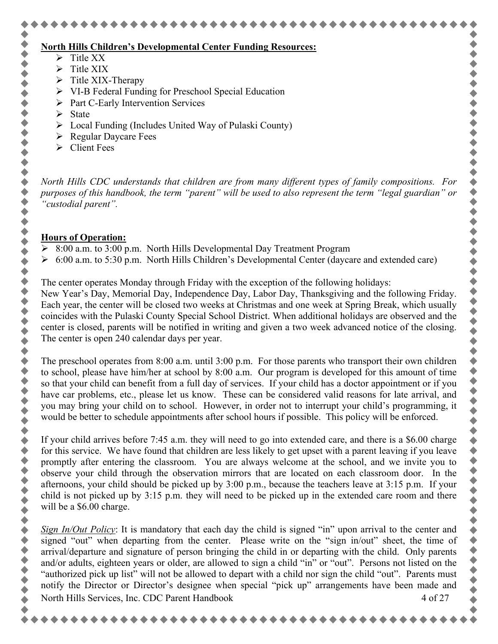# **North Hills Children's Developmental Center Funding Resources:**

- $\triangleright$  Title XX
- $\triangleright$  Title XIX
- $\triangleright$  Title XIX-Therapy
- VI-B Federal Funding for Preschool Special Education
- $\triangleright$  Part C-Early Intervention Services
- $\triangleright$  State

,,,,,,,,,,,,

- $\triangleright$  Local Funding (Includes United Way of Pulaski County)
- Regular Daycare Fees
- $\triangleright$  Client Fees

*North Hills CDC understands that children are from many different types of family compositions. For purposes of this handbook, the term "parent" will be used to also represent the term "legal guardian" or "custodial parent".*

# **Hours of Operation:**

- 8:00 a.m. to 3:00 p.m. North Hills Developmental Day Treatment Program
- $\geq 6:00$  a.m. to 5:30 p.m. North Hills Children's Developmental Center (daycare and extended care)

The center operates Monday through Friday with the exception of the following holidays:

New Year's Day, Memorial Day, Independence Day, Labor Day, Thanksgiving and the following Friday. Each year, the center will be closed two weeks at Christmas and one week at Spring Break, which usually coincides with the Pulaski County Special School District. When additional holidays are observed and the center is closed, parents will be notified in writing and given a two week advanced notice of the closing. The center is open 240 calendar days per year.

The preschool operates from 8:00 a.m. until 3:00 p.m. For those parents who transport their own children to school, please have him/her at school by 8:00 a.m. Our program is developed for this amount of time so that your child can benefit from a full day of services. If your child has a doctor appointment or if you have car problems, etc., please let us know. These can be considered valid reasons for late arrival, and you may bring your child on to school. However, in order not to interrupt your child's programming, it would be better to schedule appointments after school hours if possible. This policy will be enforced.

If your child arrives before 7:45 a.m. they will need to go into extended care, and there is a \$6.00 charge for this service. We have found that children are less likely to get upset with a parent leaving if you leave promptly after entering the classroom. You are always welcome at the school, and we invite you to observe your child through the observation mirrors that are located on each classroom door. In the afternoons, your child should be picked up by 3:00 p.m., because the teachers leave at 3:15 p.m. If your child is not picked up by 3:15 p.m. they will need to be picked up in the extended care room and there will be a \$6.00 charge.

North Hills Services, Inc. CDC Parent Handbook 4 of 27 *Sign In/Out Policy*: It is mandatory that each day the child is signed "in" upon arrival to the center and signed "out" when departing from the center. Please write on the "sign in/out" sheet, the time of arrival/departure and signature of person bringing the child in or departing with the child. Only parents and/or adults, eighteen years or older, are allowed to sign a child "in" or "out". Persons not listed on the "authorized pick up list" will not be allowed to depart with a child nor sign the child "out". Parents must notify the Director or Director's designee when special "pick up" arrangements have been made and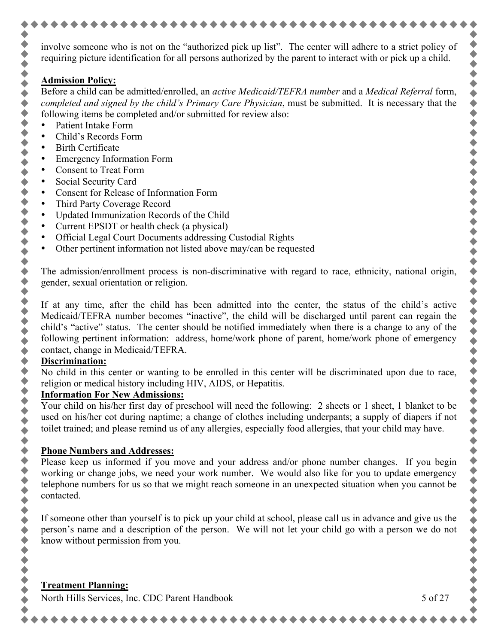involve someone who is not on the "authorized pick up list". The center will adhere to a strict policy of requiring picture identification for all persons authorized by the parent to interact with or pick up a child.

#### **Admission Policy:**

 $\blacklozenge$  $\blacklozenge$ 

◆◆◆◆◆

 $\blacklozenge$ Ò  $\blacklozenge$ 

◆◆◆

◆◆◆

,,,,,,,,,,,,,,,,

令令令

 $\blacklozenge$ 

 $\blacklozenge$  $\blacklozenge$  $\ddot{\bullet}$  $\blacklozenge$  $\ddot{\bullet}$ 

Before a child can be admitted/enrolled, an *active Medicaid/TEFRA number* and a *Medical Referral* form, *completed and signed by the child's Primary Care Physician*, must be submitted. It is necessary that the following items be completed and/or submitted for review also:

- Patient Intake Form
- Child's Records Form
- **Birth Certificate**
- Emergency Information Form
- Consent to Treat Form
- Social Security Card
- Consent for Release of Information Form
- Third Party Coverage Record
- Updated Immunization Records of the Child
- Current EPSDT or health check (a physical)
- Official Legal Court Documents addressing Custodial Rights
- Other pertinent information not listed above may/can be requested

The admission/enrollment process is non-discriminative with regard to race, ethnicity, national origin, gender, sexual orientation or religion.

If at any time, after the child has been admitted into the center, the status of the child's active Medicaid/TEFRA number becomes "inactive", the child will be discharged until parent can regain the child's "active" status. The center should be notified immediately when there is a change to any of the following pertinent information: address, home/work phone of parent, home/work phone of emergency contact, change in Medicaid/TEFRA.

#### **Discrimination:**

No child in this center or wanting to be enrolled in this center will be discriminated upon due to race, religion or medical history including HIV, AIDS, or Hepatitis.

#### **Information For New Admissions:**

Your child on his/her first day of preschool will need the following: 2 sheets or 1 sheet, 1 blanket to be used on his/her cot during naptime; a change of clothes including underpants; a supply of diapers if not toilet trained; and please remind us of any allergies, especially food allergies, that your child may have.

#### **Phone Numbers and Addresses:**

Please keep us informed if you move and your address and/or phone number changes. If you begin working or change jobs, we need your work number. We would also like for you to update emergency telephone numbers for us so that we might reach someone in an unexpected situation when you cannot be contacted.

If someone other than yourself is to pick up your child at school, please call us in advance and give us the person's name and a description of the person. We will not let your child go with a person we do not know without permission from you.

North Hills Services, Inc. CDC Parent Handbook 5 of 27

◆◆◆◆◆

令令令

 $\bullet$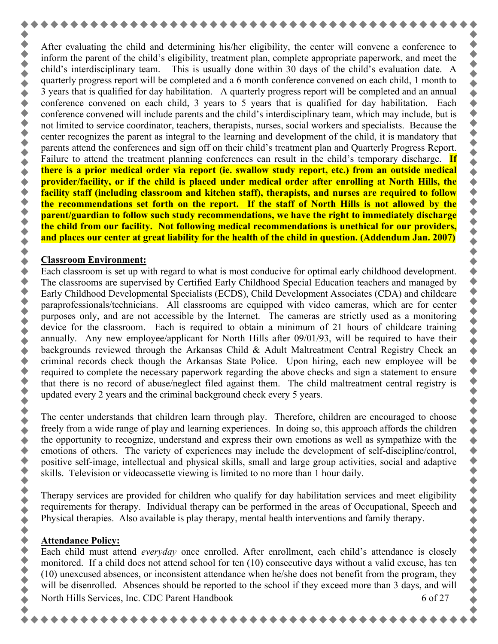After evaluating the child and determining his/her eligibility, the center will convene a conference to inform the parent of the child's eligibility, treatment plan, complete appropriate paperwork, and meet the child's interdisciplinary team. This is usually done within 30 days of the child's evaluation date. A quarterly progress report will be completed and a 6 month conference convened on each child, 1 month to 3 years that is qualified for day habilitation. A quarterly progress report will be completed and an annual conference convened on each child, 3 years to 5 years that is qualified for day habilitation. Each conference convened will include parents and the child's interdisciplinary team, which may include, but is not limited to service coordinator, teachers, therapists, nurses, social workers and specialists. Because the center recognizes the parent as integral to the learning and development of the child, it is mandatory that parents attend the conferences and sign off on their child's treatment plan and Quarterly Progress Report. Failure to attend the treatment planning conferences can result in the child's temporary discharge. **If there is a prior medical order via report (ie. swallow study report, etc.) from an outside medical provider/facility, or if the child is placed under medical order after enrolling at North Hills, the facility staff (including classroom and kitchen staff), therapists, and nurses are required to follow the recommendations set forth on the report. If the staff of North Hills is not allowed by the parent/guardian to follow such study recommendations, we have the right to immediately discharge the child from our facility. Not following medical recommendations is unethical for our providers, and places our center at great liability for the health of the child in question. (Addendum Jan. 2007)**

#### **Classroom Environment:**

 $\bullet$ 

 $\blacklozenge$ 

Each classroom is set up with regard to what is most conducive for optimal early childhood development. The classrooms are supervised by Certified Early Childhood Special Education teachers and managed by Early Childhood Developmental Specialists (ECDS), Child Development Associates (CDA) and childcare paraprofessionals/technicians. All classrooms are equipped with video cameras, which are for center purposes only, and are not accessible by the Internet. The cameras are strictly used as a monitoring device for the classroom. Each is required to obtain a minimum of 21 hours of childcare training annually. Any new employee/applicant for North Hills after 09/01/93, will be required to have their backgrounds reviewed through the Arkansas Child & Adult Maltreatment Central Registry Check an criminal records check though the Arkansas State Police. Upon hiring, each new employee will be required to complete the necessary paperwork regarding the above checks and sign a statement to ensure that there is no record of abuse/neglect filed against them. The child maltreatment central registry is updated every 2 years and the criminal background check every 5 years.

The center understands that children learn through play. Therefore, children are encouraged to choose freely from a wide range of play and learning experiences. In doing so, this approach affords the children the opportunity to recognize, understand and express their own emotions as well as sympathize with the emotions of others. The variety of experiences may include the development of self-discipline/control, positive self-image, intellectual and physical skills, small and large group activities, social and adaptive skills. Television or videocassette viewing is limited to no more than 1 hour daily.

Therapy services are provided for children who qualify for day habilitation services and meet eligibility requirements for therapy. Individual therapy can be performed in the areas of Occupational, Speech and Physical therapies. Also available is play therapy, mental health interventions and family therapy.

#### **Attendance Policy:**

North Hills Services, Inc. CDC Parent Handbook 6 of 27 Each child must attend *everyday* once enrolled. After enrollment, each child's attendance is closely monitored. If a child does not attend school for ten (10) consecutive days without a valid excuse, has ten (10) unexcused absences, or inconsistent attendance when he/she does not benefit from the program, they will be disenrolled. Absences should be reported to the school if they exceed more than 3 days, and will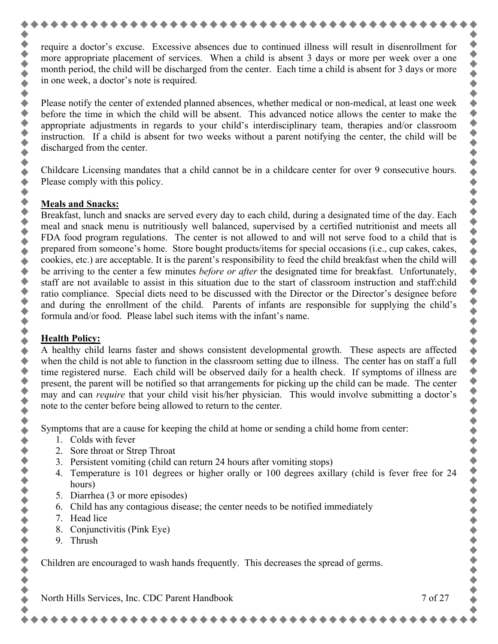require a doctor's excuse. Excessive absences due to continued illness will result in disenrollment for more appropriate placement of services. When a child is absent 3 days or more per week over a one month period, the child will be discharged from the center. Each time a child is absent for 3 days or more in one week, a doctor's note is required.

Please notify the center of extended planned absences, whether medical or non-medical, at least one week before the time in which the child will be absent. This advanced notice allows the center to make the appropriate adjustments in regards to your child's interdisciplinary team, therapies and/or classroom instruction. If a child is absent for two weeks without a parent notifying the center, the child will be discharged from the center.

Childcare Licensing mandates that a child cannot be in a childcare center for over 9 consecutive hours. Please comply with this policy.

#### **Meals and Snacks:**

◆◆◆◆◆◆◆◆

,,,,,,,,,,,

,,,,,,,,,,,,,,,,,,,,,,,,,,

 $\blacklozenge$ 

 $\bullet$ 

Breakfast, lunch and snacks are served every day to each child, during a designated time of the day. Each meal and snack menu is nutritiously well balanced, supervised by a certified nutritionist and meets all FDA food program regulations. The center is not allowed to and will not serve food to a child that is prepared from someone's home. Store bought products/items for special occasions (i.e., cup cakes, cakes, cookies, etc.) are acceptable. It is the parent's responsibility to feed the child breakfast when the child will be arriving to the center a few minutes *before or after* the designated time for breakfast. Unfortunately, staff are not available to assist in this situation due to the start of classroom instruction and staff:child ratio compliance. Special diets need to be discussed with the Director or the Director's designee before and during the enrollment of the child. Parents of infants are responsible for supplying the child's formula and/or food. Please label such items with the infant's name.

#### **Health Policy:**

A healthy child learns faster and shows consistent developmental growth. These aspects are affected when the child is not able to function in the classroom setting due to illness. The center has on staff a full time registered nurse. Each child will be observed daily for a health check. If symptoms of illness are present, the parent will be notified so that arrangements for picking up the child can be made. The center may and can *require* that your child visit his/her physician. This would involve submitting a doctor's note to the center before being allowed to return to the center.

Symptoms that are a cause for keeping the child at home or sending a child home from center:

- 1. Colds with fever
- 2. Sore throat or Strep Throat
- 3. Persistent vomiting (child can return 24 hours after vomiting stops)
- 4. Temperature is 101 degrees or higher orally or 100 degrees axillary (child is fever free for 24 hours)
- 5. Diarrhea (3 or more episodes)
- 6. Child has any contagious disease; the center needs to be notified immediately
- 7. Head lice
- 8. Conjunctivitis (Pink Eye)
- 9. Thrush

Children are encouraged to wash hands frequently. This decreases the spread of germs.

North Hills Services, Inc. CDC Parent Handbook 7 of 27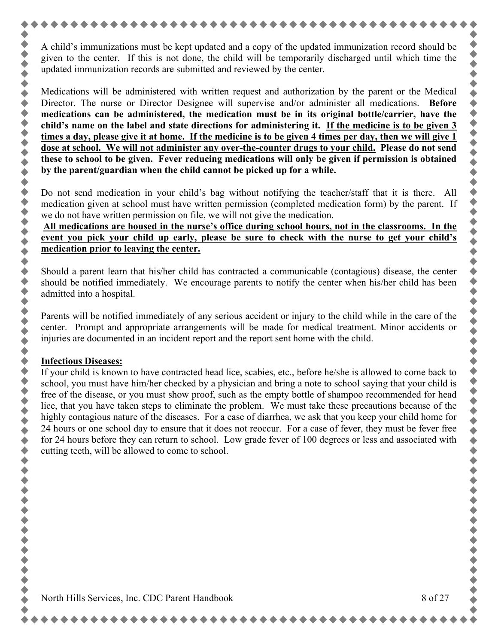A child's immunizations must be kept updated and a copy of the updated immunization record should be given to the center. If this is not done, the child will be temporarily discharged until which time the updated immunization records are submitted and reviewed by the center.

Medications will be administered with written request and authorization by the parent or the Medical Director. The nurse or Director Designee will supervise and/or administer all medications. **Before medications can be administered, the medication must be in its original bottle/carrier, have the child's name on the label and state directions for administering it. If the medicine is to be given 3 times a day, please give it at home. If the medicine is to be given 4 times per day, then we will give 1 dose at school. We will not administer any over-the-counter drugs to your child. Please do not send these to school to be given. Fever reducing medications will only be given if permission is obtained by the parent/guardian when the child cannot be picked up for a while.**

Do not send medication in your child's bag without notifying the teacher/staff that it is there. All medication given at school must have written permission (completed medication form) by the parent. If we do not have written permission on file, we will not give the medication.

**All medications are housed in the nurse's office during school hours, not in the classrooms. In the event you pick your child up early, please be sure to check with the nurse to get your child's medication prior to leaving the center.**

Should a parent learn that his/her child has contracted a communicable (contagious) disease, the center should be notified immediately. We encourage parents to notify the center when his/her child has been admitted into a hospital.

Parents will be notified immediately of any serious accident or injury to the child while in the care of the center. Prompt and appropriate arrangements will be made for medical treatment. Minor accidents or injuries are documented in an incident report and the report sent home with the child.

#### **Infectious Diseases:**

**++++++++** 

+ + + + + + + + +

,,,,,,,,,,,,,

令令令

令令令

If your child is known to have contracted head lice, scabies, etc., before he/she is allowed to come back to school, you must have him/her checked by a physician and bring a note to school saying that your child is free of the disease, or you must show proof, such as the empty bottle of shampoo recommended for head lice, that you have taken steps to eliminate the problem. We must take these precautions because of the highly contagious nature of the diseases. For a case of diarrhea, we ask that you keep your child home for 24 hours or one school day to ensure that it does not reoccur. For a case of fever, they must be fever free for 24 hours before they can return to school. Low grade fever of 100 degrees or less and associated with cutting teeth, will be allowed to come to school.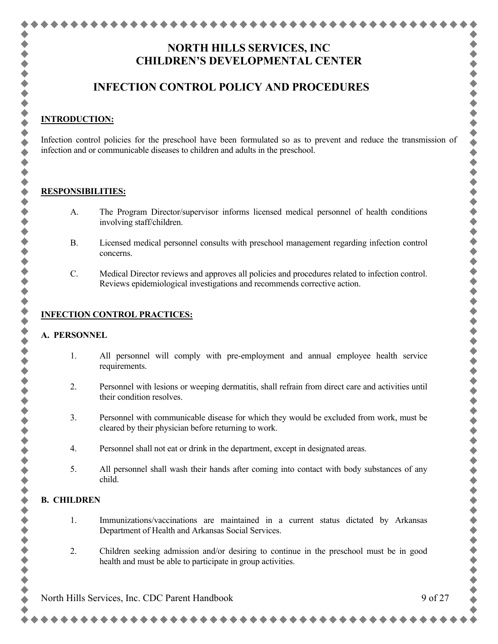# **NORTH HILLS SERVICES, INC CHILDREN'S DEVELOPMENTAL CENTER**

# **INFECTION CONTROL POLICY AND PROCEDURES**

#### **INTRODUCTION:**

 $\blacklozenge$ 

 $\blacklozenge$ 

 $\ddot{\bullet}$  $\blacklozenge$ 

 $\blacklozenge$ 

◆◆◆

 $\blacklozenge$ 

 $\blacklozenge$ 

.......

 $\bullet$ 

 $\blacklozenge$ 

 $\blacklozenge$  $\blacklozenge$ 

 $\blacklozenge$ 

 $\blacklozenge$  $\blacklozenge$  Infection control policies for the preschool have been formulated so as to prevent and reduce the transmission of infection and or communicable diseases to children and adults in the preschool.

#### **RESPONSIBILITIES:**

- A. The Program Director/supervisor informs licensed medical personnel of health conditions involving staff/children.
- B. Licensed medical personnel consults with preschool management regarding infection control concerns.
- C. Medical Director reviews and approves all policies and procedures related to infection control. Reviews epidemiological investigations and recommends corrective action.

#### **INFECTION CONTROL PRACTICES:**

#### **A. PERSONNEL**

- 1. All personnel will comply with pre-employment and annual employee health service requirements.
- 2. Personnel with lesions or weeping dermatitis, shall refrain from direct care and activities until their condition resolves.
- 3. Personnel with communicable disease for which they would be excluded from work, must be cleared by their physician before returning to work.
- 4. Personnel shall not eat or drink in the department, except in designated areas.
- 5. All personnel shall wash their hands after coming into contact with body substances of any child.

#### **B. CHILDREN**

- 1. Immunizations/vaccinations are maintained in a current status dictated by Arkansas Department of Health and Arkansas Social Services.
- 2. Children seeking admission and/or desiring to continue in the preschool must be in good health and must be able to participate in group activities.

North Hills Services, Inc. CDC Parent Handbook 9 of 27

◆◆◆

令令令

,,,,,,,,,,,,,

 $\bullet$ 

令令令

+ + + + + + + + + + + +

 $\bullet$ 

 $\bullet$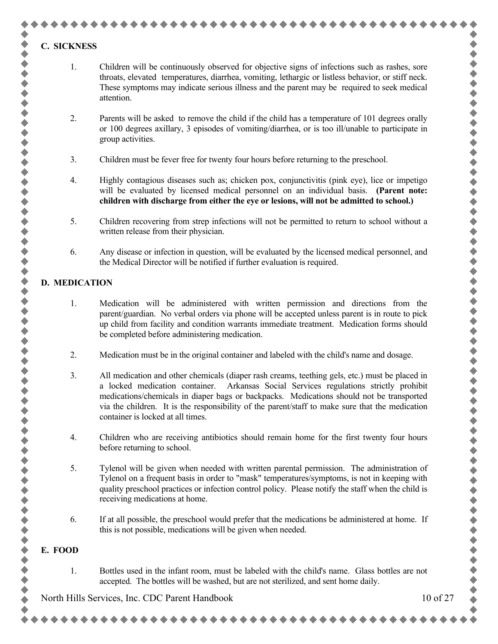#### **C. SICKNESS**

,,,,,,,,,,

,,,,,,,,,,

 $\ddot{\bullet}$  $\ddot{\bullet}$ 

,,,,,,,,,,,,,,,,,,,,,,,

 $\ddot{\bullet}$ 

- 1. Children will be continuously observed for objective signs of infections such as rashes, sore throats, elevated temperatures, diarrhea, vomiting, lethargic or listless behavior, or stiff neck. These symptoms may indicate serious illness and the parent may be required to seek medical attention.
- 2. Parents will be asked to remove the child if the child has a temperature of 101 degrees orally or 100 degrees axillary, 3 episodes of vomiting/diarrhea, or is too ill/unable to participate in group activities.
- 3. Children must be fever free for twenty four hours before returning to the preschool.
- 4. Highly contagious diseases such as; chicken pox, conjunctivitis (pink eye), lice or impetigo will be evaluated by licensed medical personnel on an individual basis. **(Parent note: children with discharge from either the eye or lesions, will not be admitted to school.)**
- 5. Children recovering from strep infections will not be permitted to return to school without a written release from their physician.
- 6. Any disease or infection in question, will be evaluated by the licensed medical personnel, and the Medical Director will be notified if further evaluation is required.

#### **D. MEDICATION**

- 1. Medication will be administered with written permission and directions from the parent/guardian. No verbal orders via phone will be accepted unless parent is in route to pick up child from facility and condition warrants immediate treatment. Medication forms should be completed before administering medication.
- 2. Medication must be in the original container and labeled with the child's name and dosage.
- 3. All medication and other chemicals (diaper rash creams, teething gels, etc.) must be placed in a locked medication container. Arkansas Social Services regulations strictly prohibit medications/chemicals in diaper bags or backpacks. Medications should not be transported via the children. It is the responsibility of the parent/staff to make sure that the medication container is locked at all times.
- 4. Children who are receiving antibiotics should remain home for the first twenty four hours before returning to school.
- 5. Tylenol will be given when needed with written parental permission. The administration of Tylenol on a frequent basis in order to "mask" temperatures/symptoms, is not in keeping with quality preschool practices or infection control policy. Please notify the staff when the child is receiving medications at home.
- 6. If at all possible, the preschool would prefer that the medications be administered at home. If this is not possible, medications will be given when needed.

#### **E. FOOD**

1. Bottles used in the infant room, must be labeled with the child's name. Glass bottles are not accepted. The bottles will be washed, but are not sterilized, and sent home daily.

North Hills Services, Inc. CDC Parent Handbook 10 of 27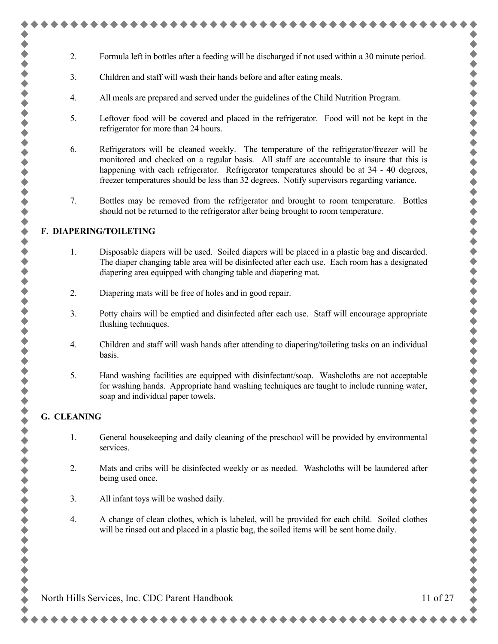- 2. Formula left in bottles after a feeding will be discharged if not used within a 30 minute period.
- 3. Children and staff will wash their hands before and after eating meals.
- 4. All meals are prepared and served under the guidelines of the Child Nutrition Program.
- 5. Leftover food will be covered and placed in the refrigerator. Food will not be kept in the refrigerator for more than 24 hours.
- 6. Refrigerators will be cleaned weekly. The temperature of the refrigerator/freezer will be monitored and checked on a regular basis. All staff are accountable to insure that this is happening with each refrigerator. Refrigerator temperatures should be at 34 - 40 degrees, freezer temperatures should be less than 32 degrees. Notify supervisors regarding variance.
- 7. Bottles may be removed from the refrigerator and brought to room temperature. Bottles should not be returned to the refrigerator after being brought to room temperature.

#### **F. DIAPERING/TOILETING**

,,,,,,,,,,,,,,,,

++++++

,,,,,,,,,,,,,,,,,,,

令令令

◆◆◆

 $\bullet$ 

- 1. Disposable diapers will be used. Soiled diapers will be placed in a plastic bag and discarded. The diaper changing table area will be disinfected after each use. Each room has a designated diapering area equipped with changing table and diapering mat.
- 2. Diapering mats will be free of holes and in good repair.
- 3. Potty chairs will be emptied and disinfected after each use. Staff will encourage appropriate flushing techniques.
- 4. Children and staff will wash hands after attending to diapering/toileting tasks on an individual basis.
- 5. Hand washing facilities are equipped with disinfectant/soap. Washcloths are not acceptable for washing hands. Appropriate hand washing techniques are taught to include running water, soap and individual paper towels.

#### **G. CLEANING**

- 1. General housekeeping and daily cleaning of the preschool will be provided by environmental services.
- 2. Mats and cribs will be disinfected weekly or as needed. Washcloths will be laundered after being used once.
- 3. All infant toys will be washed daily.
- 4. A change of clean clothes, which is labeled, will be provided for each child. Soiled clothes will be rinsed out and placed in a plastic bag, the soiled items will be sent home daily.

◆◆◆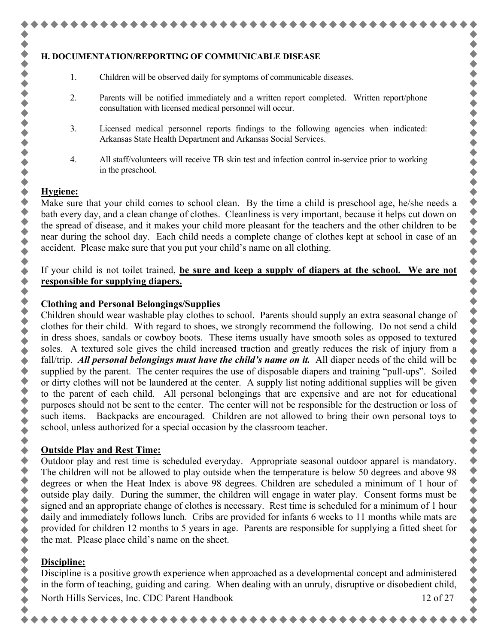#### **H. DOCUMENTATION/REPORTING OF COMMUNICABLE DISEASE**

- 1. Children will be observed daily for symptoms of communicable diseases.
- 2. Parents will be notified immediately and a written report completed. Written report/phone consultation with licensed medical personnel will occur.
- 3. Licensed medical personnel reports findings to the following agencies when indicated: Arkansas State Health Department and Arkansas Social Services.
- 4. All staff/volunteers will receive TB skin test and infection control in-service prior to working in the preschool.

#### **Hygiene:**

 $\bullet$ 

◆◆◆◆

令令令

,,,,,,,,,,,,,,,,,,,,,,,,,,,,,

令令令

Make sure that your child comes to school clean. By the time a child is preschool age, he/she needs a bath every day, and a clean change of clothes. Cleanliness is very important, because it helps cut down on the spread of disease, and it makes your child more pleasant for the teachers and the other children to be near during the school day. Each child needs a complete change of clothes kept at school in case of an accident. Please make sure that you put your child's name on all clothing.

#### If your child is not toilet trained, **be sure and keep a supply of diapers at the school. We are not responsible for supplying diapers.**

#### **Clothing and Personal Belongings/Supplies**

Children should wear washable play clothes to school. Parents should supply an extra seasonal change of clothes for their child. With regard to shoes, we strongly recommend the following. Do not send a child in dress shoes, sandals or cowboy boots. These items usually have smooth soles as opposed to textured soles. A textured sole gives the child increased traction and greatly reduces the risk of injury from a fall/trip. *All personal belongings must have the child's name on it.* All diaper needs of the child will be supplied by the parent. The center requires the use of disposable diapers and training "pull-ups". Soiled or dirty clothes will not be laundered at the center. A supply list noting additional supplies will be given to the parent of each child. All personal belongings that are expensive and are not for educational purposes should not be sent to the center. The center will not be responsible for the destruction or loss of such items. Backpacks are encouraged. Children are not allowed to bring their own personal toys to school, unless authorized for a special occasion by the classroom teacher.

#### **Outside Play and Rest Time:**

Outdoor play and rest time is scheduled everyday. Appropriate seasonal outdoor apparel is mandatory. The children will not be allowed to play outside when the temperature is below 50 degrees and above 98 degrees or when the Heat Index is above 98 degrees. Children are scheduled a minimum of 1 hour of outside play daily. During the summer, the children will engage in water play. Consent forms must be signed and an appropriate change of clothes is necessary. Rest time is scheduled for a minimum of 1 hour daily and immediately follows lunch. Cribs are provided for infants 6 weeks to 11 months while mats are provided for children 12 months to 5 years in age. Parents are responsible for supplying a fitted sheet for the mat. Please place child's name on the sheet.

#### **Discipline:**

North Hills Services, Inc. CDC Parent Handbook 12 of 27 Discipline is a positive growth experience when approached as a developmental concept and administered in the form of teaching, guiding and caring. When dealing with an unruly, disruptive or disobedient child,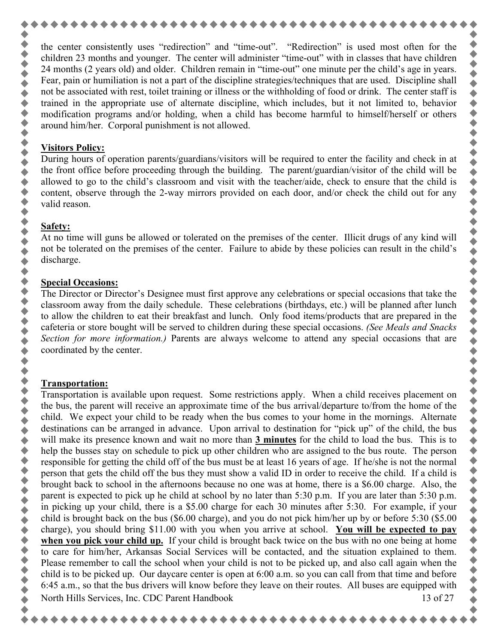the center consistently uses "redirection" and "time-out". "Redirection" is used most often for the children 23 months and younger. The center will administer "time-out" with in classes that have children 24 months (2 years old) and older. Children remain in "time-out" one minute per the child's age in years. Fear, pain or humiliation is not a part of the discipline strategies/techniques that are used. Discipline shall not be associated with rest, toilet training or illness or the withholding of food or drink. The center staff is trained in the appropriate use of alternate discipline, which includes, but it not limited to, behavior modification programs and/or holding, when a child has become harmful to himself/herself or others around him/her. Corporal punishment is not allowed.

#### **Visitors Policy:**

 $\blacklozenge$ 

During hours of operation parents/guardians/visitors will be required to enter the facility and check in at the front office before proceeding through the building. The parent/guardian/visitor of the child will be allowed to go to the child's classroom and visit with the teacher/aide, check to ensure that the child is content, observe through the 2-way mirrors provided on each door, and/or check the child out for any valid reason.

# **Safety:**

At no time will guns be allowed or tolerated on the premises of the center. Illicit drugs of any kind will not be tolerated on the premises of the center. Failure to abide by these policies can result in the child's discharge.

# **Special Occasions:**

The Director or Director's Designee must first approve any celebrations or special occasions that take the classroom away from the daily schedule. These celebrations (birthdays, etc.) will be planned after lunch to allow the children to eat their breakfast and lunch. Only food items/products that are prepared in the cafeteria or store bought will be served to children during these special occasions. *(See Meals and Snacks Section for more information.)* Parents are always welcome to attend any special occasions that are coordinated by the center.

# **Transportation:**

North Hills Services, Inc. CDC Parent Handbook 13 of 27 Transportation is available upon request. Some restrictions apply. When a child receives placement on the bus, the parent will receive an approximate time of the bus arrival/departure to/from the home of the child. We expect your child to be ready when the bus comes to your home in the mornings. Alternate destinations can be arranged in advance. Upon arrival to destination for "pick up" of the child, the bus will make its presence known and wait no more than **3 minutes** for the child to load the bus. This is to help the busses stay on schedule to pick up other children who are assigned to the bus route. The person responsible for getting the child off of the bus must be at least 16 years of age. If he/she is not the normal person that gets the child off the bus they must show a valid ID in order to receive the child. If a child is brought back to school in the afternoons because no one was at home, there is a \$6.00 charge. Also, the parent is expected to pick up he child at school by no later than 5:30 p.m. If you are later than 5:30 p.m. in picking up your child, there is a \$5.00 charge for each 30 minutes after 5:30. For example, if your child is brought back on the bus (\$6.00 charge), and you do not pick him/her up by or before 5:30 (\$5.00 charge), you should bring \$11.00 with you when you arrive at school. **You will be expected to pay when you pick your child up.** If your child is brought back twice on the bus with no one being at home to care for him/her, Arkansas Social Services will be contacted, and the situation explained to them. Please remember to call the school when your child is not to be picked up, and also call again when the child is to be picked up. Our daycare center is open at 6:00 a.m. so you can call from that time and before 6:45 a.m., so that the bus drivers will know before they leave on their routes. All buses are equipped with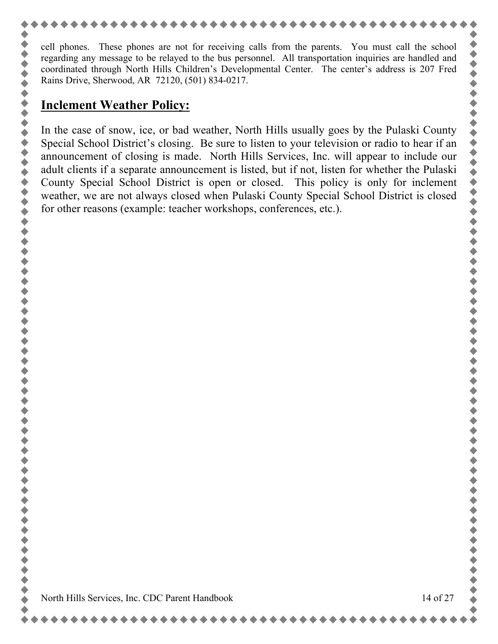cell phones. These phones are not for receiving calls from the parents. You must call the school regarding any message to be relayed to the bus personnel. All transportation inquiries are handled and coordinated through North Hills Children's Developmental Center. The center's address is 207 Fred Rains Drive, Sherwood, AR 72120, (501) 834-0217.

# **Inclement Weather Policy:**

In the case of snow, ice, or bad weather, North Hills usually goes by the Pulaski County Special School District's closing. Be sure to listen to your television or radio to hear if an announcement of closing is made. North Hills Services, Inc. will appear to include our adult clients if a separate announcement is listed, but if not, listen for whether the Pulaski County Special School District is open or closed. This policy is only for inclement weather, we are not always closed when Pulaski County Special School District is closed for other reasons (example: teacher workshops, conferences, etc.).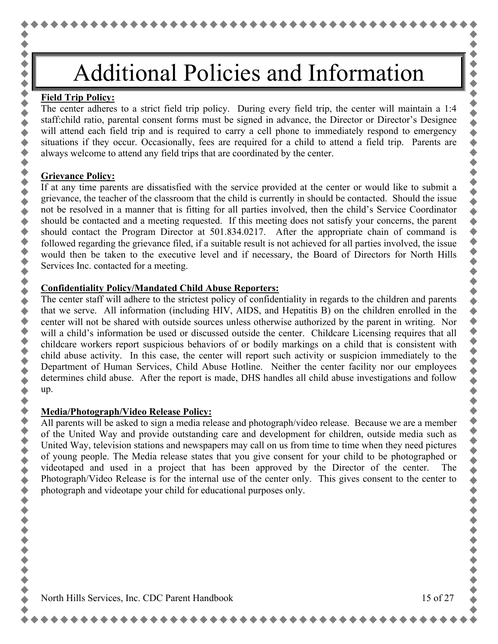# Additional Policies and Information

#### **Field Trip Policy:**

 $\blacklozenge$ 

令令令

令令令令

令令令

,,,,,,,,,,,,

◆◆◆◆

 $\ddot{\bullet}$ 

\*\*\*\*\*

 $\blacklozenge$  $\blacklozenge$ 

The center adheres to a strict field trip policy. During every field trip, the center will maintain a 1:4 staff:child ratio, parental consent forms must be signed in advance, the Director or Director's Designee will attend each field trip and is required to carry a cell phone to immediately respond to emergency situations if they occur. Occasionally, fees are required for a child to attend a field trip. Parents are always welcome to attend any field trips that are coordinated by the center.

#### **Grievance Policy:**

If at any time parents are dissatisfied with the service provided at the center or would like to submit a grievance, the teacher of the classroom that the child is currently in should be contacted. Should the issue not be resolved in a manner that is fitting for all parties involved, then the child's Service Coordinator should be contacted and a meeting requested. If this meeting does not satisfy your concerns, the parent should contact the Program Director at 501.834.0217. After the appropriate chain of command is followed regarding the grievance filed, if a suitable result is not achieved for all parties involved, the issue would then be taken to the executive level and if necessary, the Board of Directors for North Hills Services Inc. contacted for a meeting.

#### **Confidentiality Policy/Mandated Child Abuse Reporters:**

The center staff will adhere to the strictest policy of confidentiality in regards to the children and parents that we serve. All information (including HIV, AIDS, and Hepatitis B) on the children enrolled in the center will not be shared with outside sources unless otherwise authorized by the parent in writing. Nor will a child's information be used or discussed outside the center. Childcare Licensing requires that all childcare workers report suspicious behaviors of or bodily markings on a child that is consistent with child abuse activity. In this case, the center will report such activity or suspicion immediately to the Department of Human Services, Child Abuse Hotline. Neither the center facility nor our employees determines child abuse. After the report is made, DHS handles all child abuse investigations and follow up.

## **Media/Photograph/Video Release Policy:**

All parents will be asked to sign a media release and photograph/video release. Because we are a member of the United Way and provide outstanding care and development for children, outside media such as United Way, television stations and newspapers may call on us from time to time when they need pictures of young people. The Media release states that you give consent for your child to be photographed or videotaped and used in a project that has been approved by the Director of the center. The Photograph/Video Release is for the internal use of the center only. This gives consent to the center to photograph and videotape your child for educational purposes only.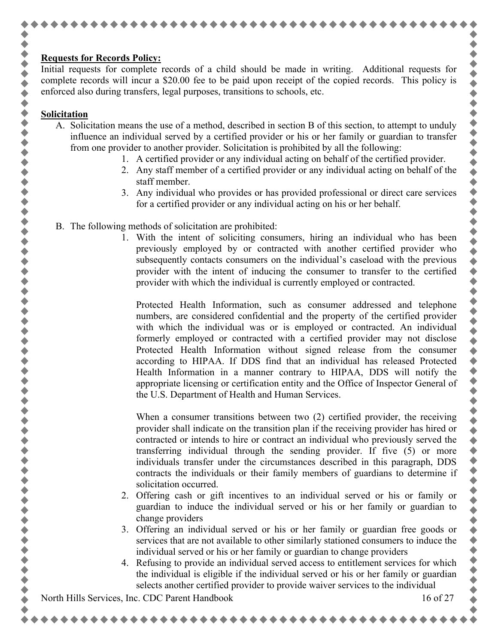## **Requests for Records Policy:**

Initial requests for complete records of a child should be made in writing. Additional requests for complete records will incur a \$20.00 fee to be paid upon receipt of the copied records. This policy is enforced also during transfers, legal purposes, transitions to schools, etc.

#### **Solicitation**

◆◆◆◆◆◆◆◆

令令令

,,,,,,,,,,,,,,,,,,,

- A. Solicitation means the use of a method, described in section B of this section, to attempt to unduly influence an individual served by a certified provider or his or her family or guardian to transfer from one provider to another provider. Solicitation is prohibited by all the following:
	- 1. A certified provider or any individual acting on behalf of the certified provider.
	- 2. Any staff member of a certified provider or any individual acting on behalf of the staff member.
	- 3. Any individual who provides or has provided professional or direct care services for a certified provider or any individual acting on his or her behalf.
- B. The following methods of solicitation are prohibited:
	- 1. With the intent of soliciting consumers, hiring an individual who has been previously employed by or contracted with another certified provider who subsequently contacts consumers on the individual's caseload with the previous provider with the intent of inducing the consumer to transfer to the certified provider with which the individual is currently employed or contracted.

Protected Health Information, such as consumer addressed and telephone numbers, are considered confidential and the property of the certified provider with which the individual was or is employed or contracted. An individual formerly employed or contracted with a certified provider may not disclose Protected Health Information without signed release from the consumer according to HIPAA. If DDS find that an individual has released Protected Health Information in a manner contrary to HIPAA, DDS will notify the appropriate licensing or certification entity and the Office of Inspector General of the U.S. Department of Health and Human Services.

When a consumer transitions between two (2) certified provider, the receiving provider shall indicate on the transition plan if the receiving provider has hired or contracted or intends to hire or contract an individual who previously served the transferring individual through the sending provider. If five (5) or more individuals transfer under the circumstances described in this paragraph, DDS contracts the individuals or their family members of guardians to determine if solicitation occurred.

- 2. Offering cash or gift incentives to an individual served or his or family or guardian to induce the individual served or his or her family or guardian to change providers
- 3. Offering an individual served or his or her family or guardian free goods or services that are not available to other similarly stationed consumers to induce the individual served or his or her family or guardian to change providers
- 4. Refusing to provide an individual served access to entitlement services for which the individual is eligible if the individual served or his or her family or guardian selects another certified provider to provide waiver services to the individual

North Hills Services, Inc. CDC Parent Handbook 16 of 27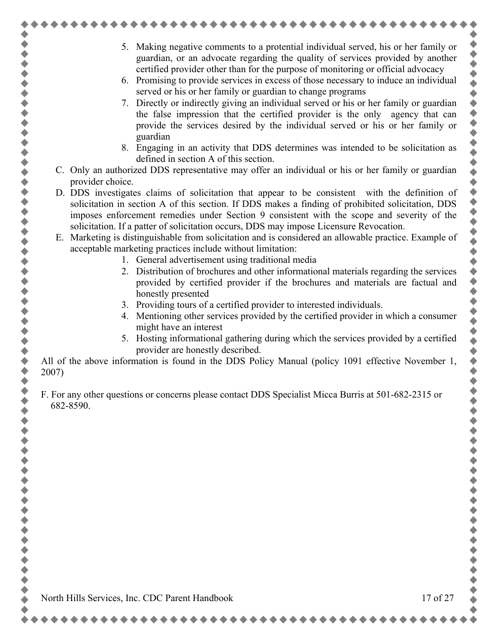- ......
- 5. Making negative comments to a protential individual served, his or her family or guardian, or an advocate regarding the quality of services provided by another certified provider other than for the purpose of monitoring or official advocacy
- 6. Promising to provide services in excess of those necessary to induce an individual served or his or her family or guardian to change programs
- 7. Directly or indirectly giving an individual served or his or her family or guardian the false impression that the certified provider is the only agency that can provide the services desired by the individual served or his or her family or guardian
- 8. Engaging in an activity that DDS determines was intended to be solicitation as defined in section A of this section.
- C. Only an authorized DDS representative may offer an individual or his or her family or guardian provider choice.
- D. DDS investigates claims of solicitation that appear to be consistent with the definition of solicitation in section A of this section. If DDS makes a finding of prohibited solicitation, DDS imposes enforcement remedies under Section 9 consistent with the scope and severity of the solicitation. If a patter of solicitation occurs, DDS may impose Licensure Revocation.
- E. Marketing is distinguishable from solicitation and is considered an allowable practice. Example of acceptable marketing practices include without limitation:
	- 1. General advertisement using traditional media
	- 2. Distribution of brochures and other informational materials regarding the services provided by certified provider if the brochures and materials are factual and honestly presented
	- 3. Providing tours of a certified provider to interested individuals.
	- 4. Mentioning other services provided by the certified provider in which a consumer might have an interest
	- 5. Hosting informational gathering during which the services provided by a certified provider are honestly described.

All of the above information is found in the DDS Policy Manual (policy 1091 effective November 1, 2007)

F. For any other questions or concerns please contact DDS Specialist Micca Burris at 501-682-2315 or 682-8590.

North Hills Services, Inc. CDC Parent Handbook 17 of 27

,,,,,,,,,,,,,

令令令

++++

......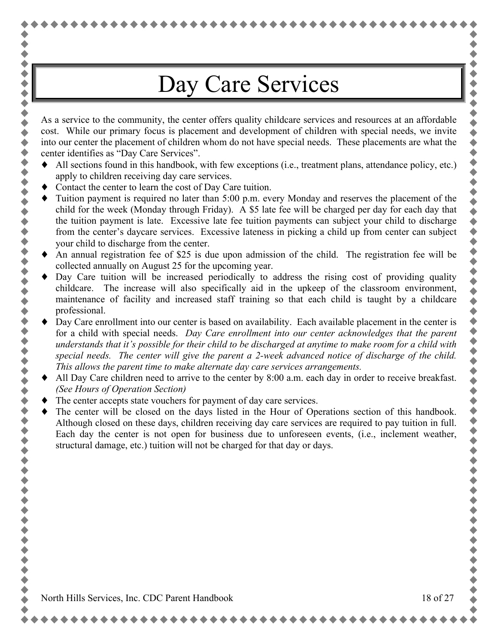# Day Care Services

As a service to the community, the center offers quality childcare services and resources at an affordable cost. While our primary focus is placement and development of children with special needs, we invite into our center the placement of children whom do not have special needs. These placements are what the center identifies as "Day Care Services".

- All sections found in this handbook, with few exceptions (i.e., treatment plans, attendance policy, etc.) apply to children receiving day care services.
- Contact the center to learn the cost of Day Care tuition.

令令令令

 $\ddot{\bullet}$ 

 $\bullet$ 

,,,,,,,,,,,,,,,,,,,,,,,,,,,,,,,,,,,,

- Tuition payment is required no later than 5:00 p.m. every Monday and reserves the placement of the child for the week (Monday through Friday). A \$5 late fee will be charged per day for each day that the tuition payment is late. Excessive late fee tuition payments can subject your child to discharge from the center's daycare services. Excessive lateness in picking a child up from center can subject your child to discharge from the center.
- An annual registration fee of \$25 is due upon admission of the child. The registration fee will be collected annually on August 25 for the upcoming year.
- Day Care tuition will be increased periodically to address the rising cost of providing quality childcare. The increase will also specifically aid in the upkeep of the classroom environment, maintenance of facility and increased staff training so that each child is taught by a childcare professional.
- Day Care enrollment into our center is based on availability. Each available placement in the center is for a child with special needs. *Day Care enrollment into our center acknowledges that the parent understands that it's possible for their child to be discharged at anytime to make room for a child with special needs. The center will give the parent a 2-week advanced notice of discharge of the child. This allows the parent time to make alternate day care services arrangements.*
- All Day Care children need to arrive to the center by 8:00 a.m. each day in order to receive breakfast. *(See Hours of Operation Section)*
- The center accepts state vouchers for payment of day care services.
- The center will be closed on the days listed in the Hour of Operations section of this handbook. Although closed on these days, children receiving day care services are required to pay tuition in full. Each day the center is not open for business due to unforeseen events, (i.e., inclement weather, structural damage, etc.) tuition will not be charged for that day or days.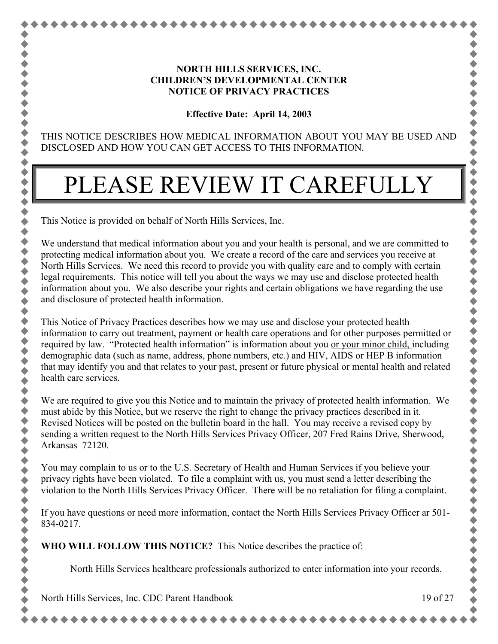### **NORTH HILLS SERVICES, INC. CHILDREN'S DEVELOPMENTAL CENTER NOTICE OF PRIVACY PRACTICES**

**Effective Date: April 14, 2003**

THIS NOTICE DESCRIBES HOW MEDICAL INFORMATION ABOUT YOU MAY BE USED AND DISCLOSED AND HOW YOU CAN GET ACCESS TO THIS INFORMATION.

# PLEASE REVIEW IT CAREFULLY

This Notice is provided on behalf of North Hills Services, Inc.

 $\blacklozenge$ 

 $\blacklozenge$ 

We understand that medical information about you and your health is personal, and we are committed to protecting medical information about you. We create a record of the care and services you receive at North Hills Services. We need this record to provide you with quality care and to comply with certain legal requirements. This notice will tell you about the ways we may use and disclose protected health information about you. We also describe your rights and certain obligations we have regarding the use and disclosure of protected health information.

This Notice of Privacy Practices describes how we may use and disclose your protected health information to carry out treatment, payment or health care operations and for other purposes permitted or required by law. "Protected health information" is information about you <u>or your minor child, i</u>ncluding demographic data (such as name, address, phone numbers, etc.) and HIV, AIDS or HEP B information that may identify you and that relates to your past, present or future physical or mental health and related health care services.

We are required to give you this Notice and to maintain the privacy of protected health information. We must abide by this Notice, but we reserve the right to change the privacy practices described in it. Revised Notices will be posted on the bulletin board in the hall. You may receive a revised copy by sending a written request to the North Hills Services Privacy Officer, 207 Fred Rains Drive, Sherwood, Arkansas 72120.

You may complain to us or to the U.S. Secretary of Health and Human Services if you believe your privacy rights have been violated. To file a complaint with us, you must send a letter describing the violation to the North Hills Services Privacy Officer. There will be no retaliation for filing a complaint.

If you have questions or need more information, contact the North Hills Services Privacy Officer ar 501- 834-0217.

**WHO WILL FOLLOW THIS NOTICE?** This Notice describes the practice of:

North Hills Services healthcare professionals authorized to enter information into your records.

North Hills Services, Inc. CDC Parent Handbook 19 of 27

......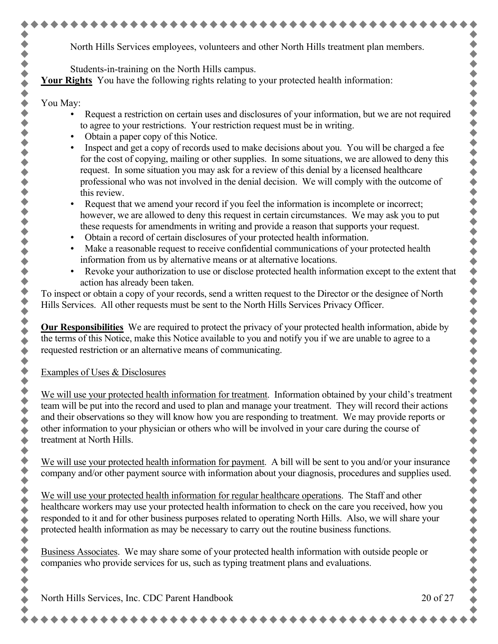North Hills Services employees, volunteers and other North Hills treatment plan members.

Students-in-training on the North Hills campus.

**Your Rights** You have the following rights relating to your protected health information:

### You May:

 $\blacklozenge$ 

◆◆◆

◆◆◆◆◆

 $\ddot{\bullet}$  $\blacklozenge$  $\blacklozenge$  $\blacklozenge$ 

令令令

令令令

 $\bullet$  $\blacklozenge$  $\blacklozenge$  $\blacklozenge$ 

 $\blacklozenge$ 

- Request a restriction on certain uses and disclosures of your information, but we are not required to agree to your restrictions. Your restriction request must be in writing.
- Obtain a paper copy of this Notice.
- Inspect and get a copy of records used to make decisions about you. You will be charged a fee for the cost of copying, mailing or other supplies. In some situations, we are allowed to deny this request. In some situation you may ask for a review of this denial by a licensed healthcare professional who was not involved in the denial decision. We will comply with the outcome of this review.
- Request that we amend your record if you feel the information is incomplete or incorrect; however, we are allowed to deny this request in certain circumstances. We may ask you to put these requests for amendments in writing and provide a reason that supports your request.
- Obtain a record of certain disclosures of your protected health information.
- Make a reasonable request to receive confidential communications of your protected health information from us by alternative means or at alternative locations.
- Revoke your authorization to use or disclose protected health information except to the extent that action has already been taken.

To inspect or obtain a copy of your records, send a written request to the Director or the designee of North Hills Services. All other requests must be sent to the North Hills Services Privacy Officer.

**Our Responsibilities** We are required to protect the privacy of your protected health information, abide by the terms of this Notice, make this Notice available to you and notify you if we are unable to agree to a requested restriction or an alternative means of communicating.

# Examples of Uses & Disclosures

We will use your protected health information for treatment. Information obtained by your child's treatment team will be put into the record and used to plan and manage your treatment. They will record their actions and their observations so they will know how you are responding to treatment. We may provide reports or other information to your physician or others who will be involved in your care during the course of treatment at North Hills.

We will use your protected health information for payment. A bill will be sent to you and/or your insurance company and/or other payment source with information about your diagnosis, procedures and supplies used.

We will use your protected health information for regular healthcare operations. The Staff and other healthcare workers may use your protected health information to check on the care you received, how you responded to it and for other business purposes related to operating North Hills. Also, we will share your protected health information as may be necessary to carry out the routine business functions.

Business Associates. We may share some of your protected health information with outside people or companies who provide services for us, such as typing treatment plans and evaluations.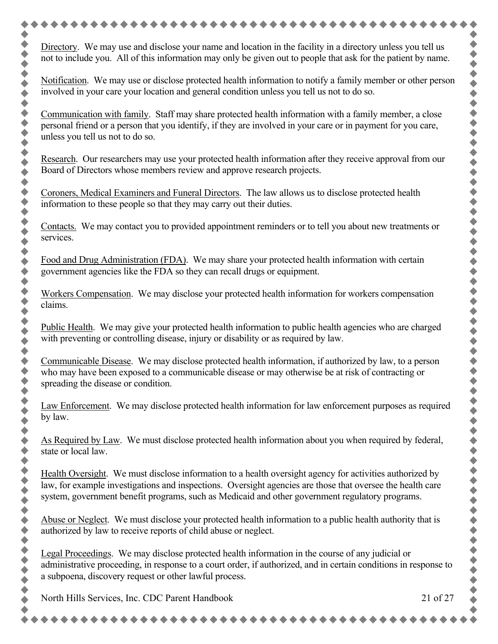Directory. We may use and disclose your name and location in the facility in a directory unless you tell us not to include you. All of this information may only be given out to people that ask for the patient by name. Notification. We may use or disclose protected health information to notify a family member or other person involved in your care your location and general condition unless you tell us not to do so. Communication with family. Staff may share protected health information with a family member, a close personal friend or a person that you identify, if they are involved in your care or in payment for you care, Research. Our researchers may use your protected health information after they receive approval from our Board of Directors whose members review and approve research projects. Coroners, Medical Examiners and Funeral Directors. The law allows us to disclose protected health information to these people so that they may carry out their duties. Contacts. We may contact you to provided appointment reminders or to tell you about new treatments or Food and Drug Administration (FDA). We may share your protected health information with certain government agencies like the FDA so they can recall drugs or equipment. Workers Compensation. We may disclose your protected health information for workers compensation Public Health. We may give your protected health information to public health agencies who are charged with preventing or controlling disease, injury or disability or as required by law. Communicable Disease. We may disclose protected health information, if authorized by law, to a person who may have been exposed to a communicable disease or may otherwise be at risk of contracting or spreading the disease or condition. Law Enforcement. We may disclose protected health information for law enforcement purposes as required As Required by Law. We must disclose protected health information about you when required by federal, Health Oversight. We must disclose information to a health oversight agency for activities authorized by law, for example investigations and inspections. Oversight agencies are those that oversee the health care system, government benefit programs, such as Medicaid and other government regulatory programs. Abuse or Neglect. We must disclose your protected health information to a public health authority that is authorized by law to receive reports of child abuse or neglect. Legal Proceedings. We may disclose protected health information in the course of any judicial or administrative proceeding, in response to a court order, if authorized, and in certain conditions in response to a subpoena, discovery request or other lawful process.North Hills Services, Inc. CDC Parent Handbook 21 of 27

令令令令 令令令 ◆◆◆◆ 令令令 令令令 + + + + + + + + ◆ ◆ ◆ ◆ 令令令  $\blacklozenge$  $\bullet$ 令令令  $\blacklozenge$  $\bullet$ 令令令

services.

claims.

by law.

state or local law.

unless you tell us not to do so.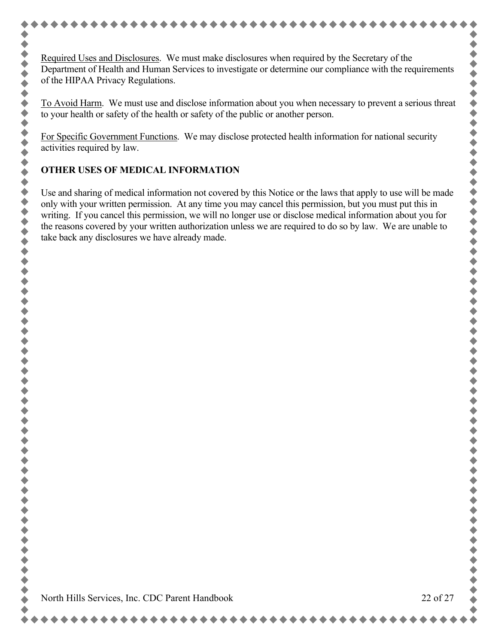Required Uses and Disclosures. We must make disclosures when required by the Secretary of the Department of Health and Human Services to investigate or determine our compliance with the requirements of the HIPAA Privacy Regulations.

To Avoid Harm. We must use and disclose information about you when necessary to prevent a serious threat to your health or safety of the health or safety of the public or another person.

For Specific Government Functions. We may disclose protected health information for national security activities required by law.

# **OTHER USES OF MEDICAL INFORMATION**

Use and sharing of medical information not covered by this Notice or the laws that apply to use will be made only with your written permission. At any time you may cancel this permission, but you must put this in writing. If you cancel this permission, we will no longer use or disclose medical information about you for the reasons covered by your written authorization unless we are required to do so by law. We are unable to take back any disclosures we have already made.

 $\blacklozenge$ 

 $\bullet$ 

,,,,,,,,,,,,,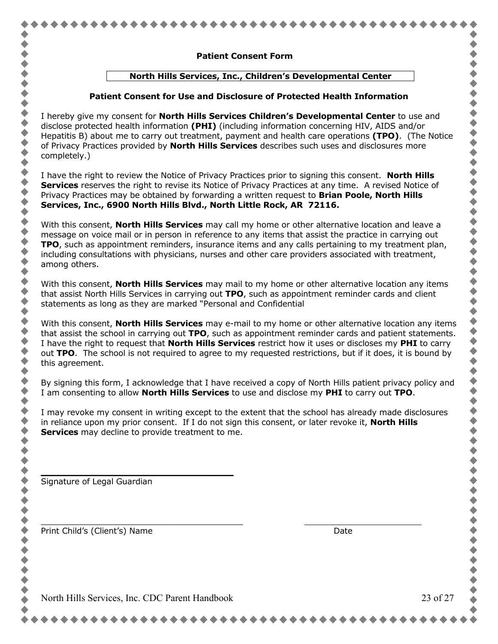|  | <b>Patient Consent Form</b>                                            |  |
|--|------------------------------------------------------------------------|--|
|  | North Hills Services, Inc., Children's Developmental Center            |  |
|  | Patient Consent for Use and Disclosure of Protected Health Information |  |

I have the right to review the Notice of Privacy Practices prior to signing this consent. **North Hills Services** reserves the right to revise its Notice of Privacy Practices at any time. A revised Notice of Privacy Practices may be obtained by forwarding a written request to **Brian Poole, North Hills Services, Inc., 6900 North Hills Blvd., North Little Rock, AR 72116.**

of Privacy Practices provided by **North Hills Services** describes such uses and disclosures more

With this consent, **North Hills Services** may call my home or other alternative location and leave a message on voice mail or in person in reference to any items that assist the practice in carrying out **TPO**, such as appointment reminders, insurance items and any calls pertaining to my treatment plan, including consultations with physicians, nurses and other care providers associated with treatment, among others.

With this consent, **North Hills Services** may mail to my home or other alternative location any items that assist North Hills Services in carrying out **TPO**, such as appointment reminder cards and client statements as long as they are marked "Personal and Confidential

With this consent, **North Hills Services** may e-mail to my home or other alternative location any items that assist the school in carrying out **TPO**, such as appointment reminder cards and patient statements. I have the right to request that **North Hills Services** restrict how it uses or discloses my **PHI** to carry out **TPO**. The school is not required to agree to my requested restrictions, but if it does, it is bound by this agreement.

By signing this form, I acknowledge that I have received a copy of North Hills patient privacy policy and I am consenting to allow **North Hills Services** to use and disclose my **PHI** to carry out **TPO**.

I may revoke my consent in writing except to the extent that the school has already made disclosures in reliance upon my prior consent. If I do not sign this consent, or later revoke it, **North Hills Services** may decline to provide treatment to me.

Signature of Legal Guardian

completely.)

Print Child's (Client's) Name **Date** Date of the Unit of the Date of the Date of the Date of the Date of the Date of the Date of the Date of the Date of the Date of the Date of the Date of the Date of the Date of the Date

**\_\_\_\_\_\_\_\_\_\_\_\_\_\_\_\_\_\_\_\_\_\_\_\_\_\_\_\_\_\_\_\_\_\_**

\_\_\_\_\_\_\_\_\_\_\_\_\_\_\_\_\_\_\_\_\_\_\_\_\_\_\_\_\_\_\_\_\_\_\_\_\_\_\_\_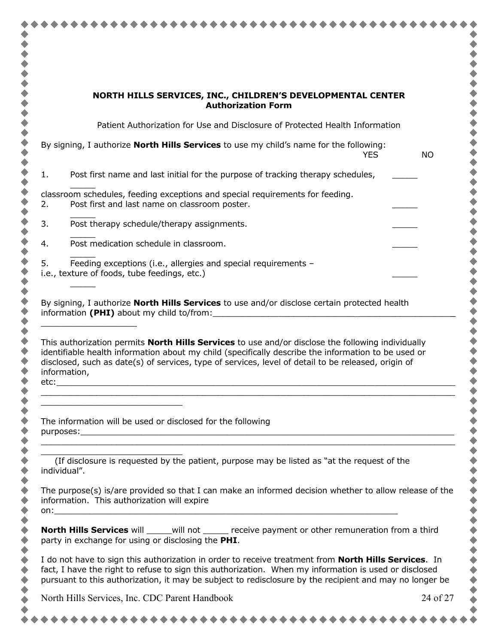|                                      | NORTH HILLS SERVICES, INC., CHILDREN'S DEVELOPMENTAL CENTER<br><b>Authorization Form</b>                                                                                                                                                                                                                                         |           |
|--------------------------------------|----------------------------------------------------------------------------------------------------------------------------------------------------------------------------------------------------------------------------------------------------------------------------------------------------------------------------------|-----------|
|                                      | Patient Authorization for Use and Disclosure of Protected Health Information                                                                                                                                                                                                                                                     |           |
|                                      | By signing, I authorize <b>North Hills Services</b> to use my child's name for the following:<br><b>YES</b>                                                                                                                                                                                                                      | <b>NO</b> |
| 1.                                   | Post first name and last initial for the purpose of tracking therapy schedules,                                                                                                                                                                                                                                                  |           |
| 2.                                   | classroom schedules, feeding exceptions and special requirements for feeding.<br>Post first and last name on classroom poster.                                                                                                                                                                                                   |           |
| 3.                                   | Post therapy schedule/therapy assignments.                                                                                                                                                                                                                                                                                       |           |
| 4.                                   | Post medication schedule in classroom.                                                                                                                                                                                                                                                                                           |           |
| 5.                                   | Feeding exceptions (i.e., allergies and special requirements -<br>i.e., texture of foods, tube feedings, etc.)                                                                                                                                                                                                                   |           |
|                                      | By signing, I authorize <b>North Hills Services</b> to use and/or disclose certain protected health<br>information (PHI) about my child to/from:<br>This authorization permits <b>North Hills Services</b> to use and/or disclose the following individually                                                                     |           |
|                                      | identifiable health information about my child (specifically describe the information to be used or<br>disclosed, such as date(s) of services, type of services, level of detail to be released, origin of                                                                                                                       |           |
|                                      | The information will be used or disclosed for the following                                                                                                                                                                                                                                                                      |           |
|                                      | (If disclosure is requested by the patient, purpose may be listed as "at the request of the                                                                                                                                                                                                                                      |           |
|                                      | The purpose(s) is/are provided so that I can make an informed decision whether to allow release of the<br>information. This authorization will expire                                                                                                                                                                            |           |
|                                      | <b>North Hills Services</b> will _____will not ______ receive payment or other remuneration from a third<br>party in exchange for using or disclosing the PHI.                                                                                                                                                                   |           |
| information,<br>etc:<br>individual". | I do not have to sign this authorization in order to receive treatment from <b>North Hills Services</b> . In<br>fact, I have the right to refuse to sign this authorization. When my information is used or disclosed<br>pursuant to this authorization, it may be subject to redisclosure by the recipient and may no longer be |           |

∢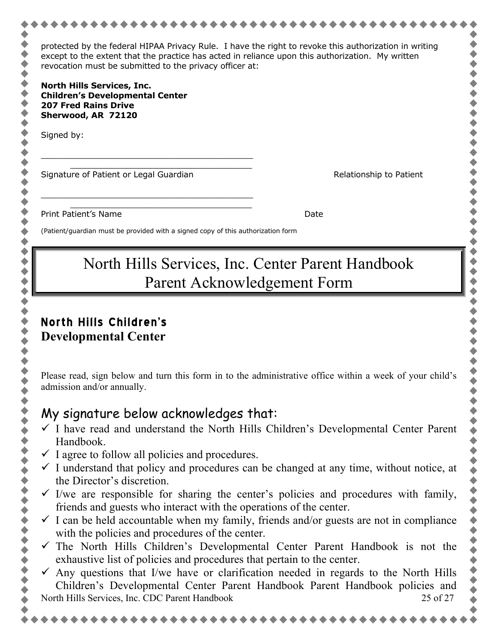| protected by the federal HIPAA Privacy Rule. I have the right to revoke this authorization in writing<br>except to the extent that the practice has acted in reliance upon this authorization. My written<br>revocation must be submitted to the privacy officer at: |                                                                              |  |  |
|----------------------------------------------------------------------------------------------------------------------------------------------------------------------------------------------------------------------------------------------------------------------|------------------------------------------------------------------------------|--|--|
| <b>North Hills Services, Inc.</b><br><b>Children's Developmental Center</b><br><b>207 Fred Rains Drive</b><br>Sherwood, AR 72120                                                                                                                                     |                                                                              |  |  |
| Signed by:                                                                                                                                                                                                                                                           |                                                                              |  |  |
| Signature of Patient or Legal Guardian                                                                                                                                                                                                                               | Relationship to Patient                                                      |  |  |
| Print Patient's Name                                                                                                                                                                                                                                                 | Date                                                                         |  |  |
| (Patient/guardian must be provided with a signed copy of this authorization form                                                                                                                                                                                     |                                                                              |  |  |
| North Hills Services, Inc. Center Parent Handbook<br>Parent Acknowledgement Form                                                                                                                                                                                     |                                                                              |  |  |
| <b>North Hills Children's</b><br><b>Developmental Center</b>                                                                                                                                                                                                         |                                                                              |  |  |
| Please read, sign below and turn this form in to the administrative office within a week of your child's<br>admission and/or annually.                                                                                                                               |                                                                              |  |  |
| My signature below acknowledges that:                                                                                                                                                                                                                                |                                                                              |  |  |
| $\checkmark$ I have read and understand the North Hills Children's Developmental Center Parent<br>Handbook.                                                                                                                                                          |                                                                              |  |  |
| $\checkmark$ I agree to follow all policies and procedures.<br>$\checkmark$ I understand that policy and procedures can be changed at any time, without notice, at<br>the Director's discretion.                                                                     |                                                                              |  |  |
| $\checkmark$ I/we are responsible for sharing the center's policies and procedures with family,<br>friends and guests who interact with the operations of the center.                                                                                                |                                                                              |  |  |
| $\checkmark$ I can be held accountable when my family, friends and/or guests are not in compliance<br>with the policies and procedures of the center.                                                                                                                |                                                                              |  |  |
| The North Hills Children's Developmental Center Parent Handbook is not the<br>exhaustive list of policies and procedures that pertain to the center.                                                                                                                 |                                                                              |  |  |
| $\checkmark$ Any questions that I/we have or clarification needed in regards to the North Hills                                                                                                                                                                      | Children's Developmental Center Parent Handbook Parent Handbook policies and |  |  |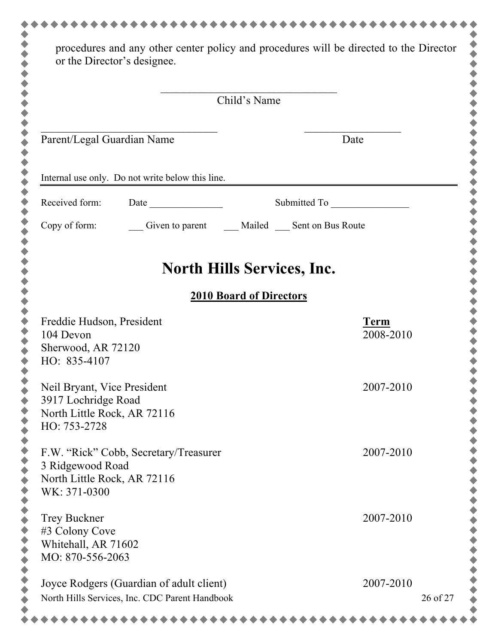| Child's Name                                                                                      |                                          |  |
|---------------------------------------------------------------------------------------------------|------------------------------------------|--|
| Parent/Legal Guardian Name                                                                        | Date                                     |  |
| Internal use only. Do not write below this line.                                                  |                                          |  |
| Received form:                                                                                    |                                          |  |
| Copy of form:                                                                                     | Given to parent Mailed Sent on Bus Route |  |
|                                                                                                   | <b>North Hills Services, Inc.</b>        |  |
|                                                                                                   | <b>2010 Board of Directors</b>           |  |
| Freddie Hudson, President<br>104 Devon<br>Sherwood, AR 72120<br>HO: 835-4107                      | <b>Term</b><br>2008-2010                 |  |
| Neil Bryant, Vice President<br>3917 Lochridge Road<br>North Little Rock, AR 72116<br>HO: 753-2728 | 2007-2010                                |  |
| F.W. "Rick" Cobb, Secretary/Treasurer<br>3 Ridgewood Road<br>North Little Rock, AR 72116          | 2007-2010                                |  |
|                                                                                                   | 2007-2010                                |  |
| WK: 371-0300<br><b>Trey Buckner</b><br>#3 Colony Cove<br>Whitehall, AR 71602<br>MO: 870-556-2063  |                                          |  |